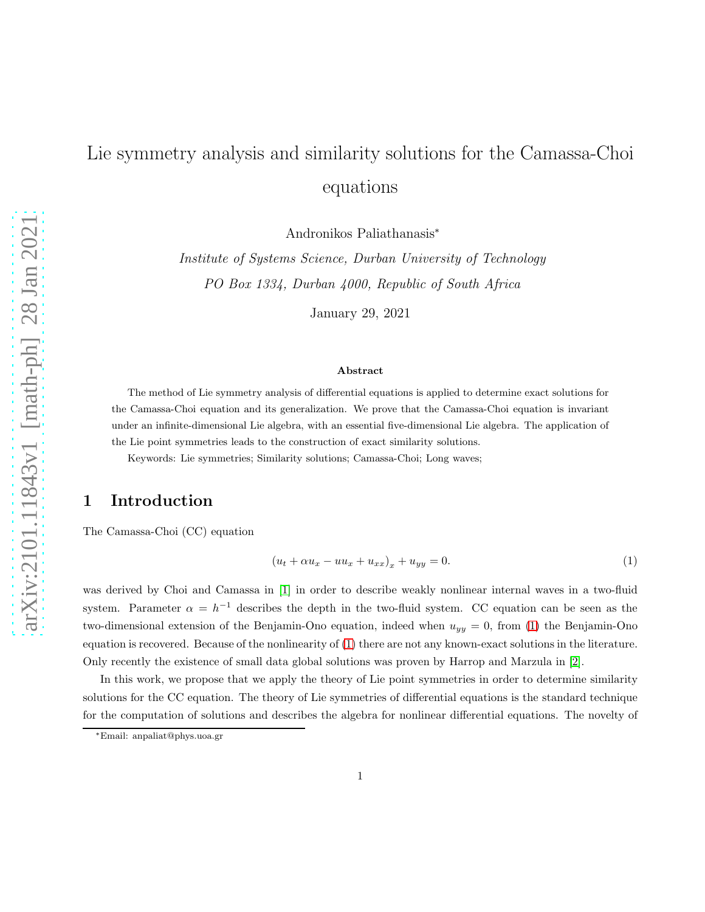# Lie symmetry analysis and similarity solutions for the Camassa-Choi equations

Andronikos Paliathanasis<sup>∗</sup>

Institute of Systems Science, Durban University of Technology PO Box 1334, Durban 4000, Republic of South Africa

January 29, 2021

#### Abstract

The method of Lie symmetry analysis of differential equations is applied to determine exact solutions for the Camassa-Choi equation and its generalization. We prove that the Camassa-Choi equation is invariant under an infinite-dimensional Lie algebra, with an essential five-dimensional Lie algebra. The application of the Lie point symmetries leads to the construction of exact similarity solutions.

Keywords: Lie symmetries; Similarity solutions; Camassa-Choi; Long waves;

## 1 Introduction

The Camassa-Choi (CC) equation

<span id="page-0-0"></span>
$$
(u_t + \alpha u_x - uu_x + u_{xx})_x + u_{yy} = 0.
$$
\n<sup>(1)</sup>

was derived by Choi and Camassa in [\[1\]](#page-10-0) in order to describe weakly nonlinear internal waves in a two-fluid system. Parameter  $\alpha = h^{-1}$  describes the depth in the two-fluid system. CC equation can be seen as the two-dimensional extension of the Benjamin-Ono equation, indeed when  $u_{yy} = 0$ , from [\(1\)](#page-0-0) the Benjamin-Ono equation is recovered. Because of the nonlinearity of [\(1\)](#page-0-0) there are not any known-exact solutions in the literature. Only recently the existence of small data global solutions was proven by Harrop and Marzula in [\[2\]](#page-10-1).

In this work, we propose that we apply the theory of Lie point symmetries in order to determine similarity solutions for the CC equation. The theory of Lie symmetries of differential equations is the standard technique for the computation of solutions and describes the algebra for nonlinear differential equations. The novelty of

<sup>∗</sup>Email: anpaliat@phys.uoa.gr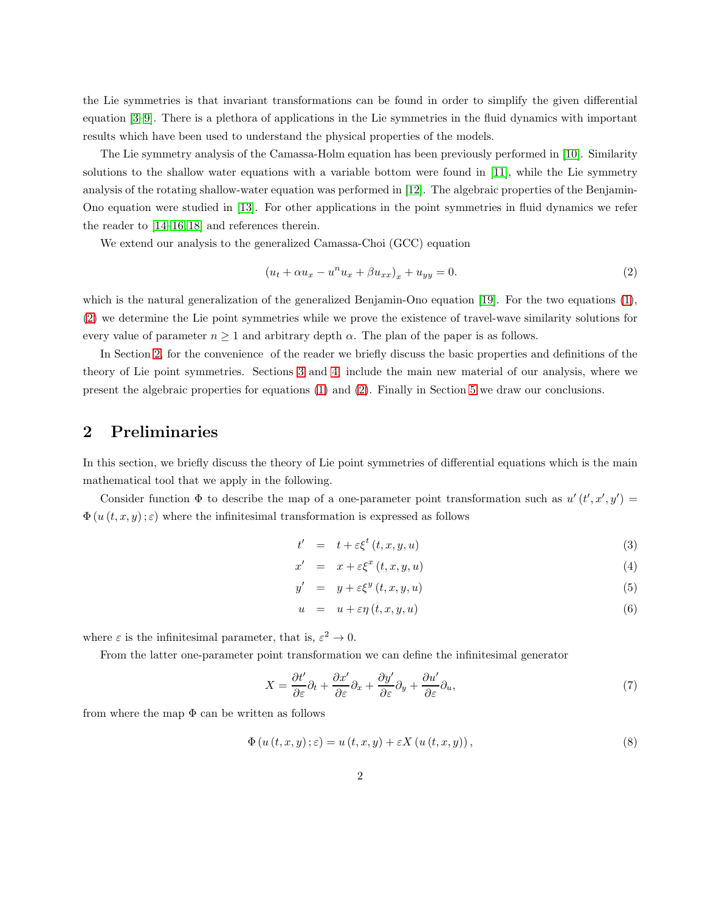the Lie symmetries is that invariant transformations can be found in order to simplify the given differential equation [\[3](#page-10-2)[–9\]](#page-10-3). There is a plethora of applications in the Lie symmetries in the fluid dynamics with important results which have been used to understand the physical properties of the models.

The Lie symmetry analysis of the Camassa-Holm equation has been previously performed in [\[10\]](#page-10-4). Similarity solutions to the shallow water equations with a variable bottom were found in [\[11\]](#page-10-5), while the Lie symmetry analysis of the rotating shallow-water equation was performed in [\[12\]](#page-10-6). The algebraic properties of the Benjamin-Ono equation were studied in [\[13\]](#page-10-7). For other applications in the point symmetries in fluid dynamics we refer the reader to [\[14–](#page-10-8)[16,](#page-10-9) [18\]](#page-10-10) and references therein.

We extend our analysis to the generalized Camassa-Choi (GCC) equation

<span id="page-1-0"></span>
$$
(u_t + \alpha u_x - u^n u_x + \beta u_{xx})_x + u_{yy} = 0.
$$
\n<sup>(2)</sup>

which is the natural generalization of the generalized Benjamin-Ono equation [\[19\]](#page-10-11). For the two equations [\(1\)](#page-0-0), [\(2\)](#page-1-0) we determine the Lie point symmetries while we prove the existence of travel-wave similarity solutions for every value of parameter  $n \geq 1$  and arbitrary depth  $\alpha$ . The plan of the paper is as follows.

In Section [2,](#page-1-1) for the convenience of the reader we briefly discuss the basic properties and definitions of the theory of Lie point symmetries. Sections [3](#page-2-0) and [4,](#page-7-0) include the main new material of our analysis, where we present the algebraic properties for equations [\(1\)](#page-0-0) and [\(2\)](#page-1-0). Finally in Section [5](#page-9-0) we draw our conclusions.

## <span id="page-1-1"></span>2 Preliminaries

In this section, we briefly discuss the theory of Lie point symmetries of differential equations which is the main mathematical tool that we apply in the following.

Consider function  $\Phi$  to describe the map of a one-parameter point transformation such as  $u'(t', x', y') =$  $\Phi(u(t, x, y); \varepsilon)$  where the infinitesimal transformation is expressed as follows

$$
t' = t + \varepsilon \xi^t(t, x, y, u) \tag{3}
$$

$$
x' = x + \varepsilon \xi^x(t, x, y, u) \tag{4}
$$

$$
y' = y + \varepsilon \xi^y(t, x, y, u) \tag{5}
$$

$$
u = u + \varepsilon \eta(t, x, y, u) \tag{6}
$$

where  $\varepsilon$  is the infinitesimal parameter, that is,  $\varepsilon^2 \to 0$ .

From the latter one-parameter point transformation we can define the infinitesimal generator

$$
X = \frac{\partial t'}{\partial \varepsilon} \partial_t + \frac{\partial x'}{\partial \varepsilon} \partial_x + \frac{\partial y'}{\partial \varepsilon} \partial_y + \frac{\partial u'}{\partial \varepsilon} \partial_u,\tag{7}
$$

from where the map  $\Phi$  can be written as follows

$$
\Phi\left(u\left(t,x,y\right);\varepsilon\right) = u\left(t,x,y\right) + \varepsilon X\left(u\left(t,x,y\right)\right),\tag{8}
$$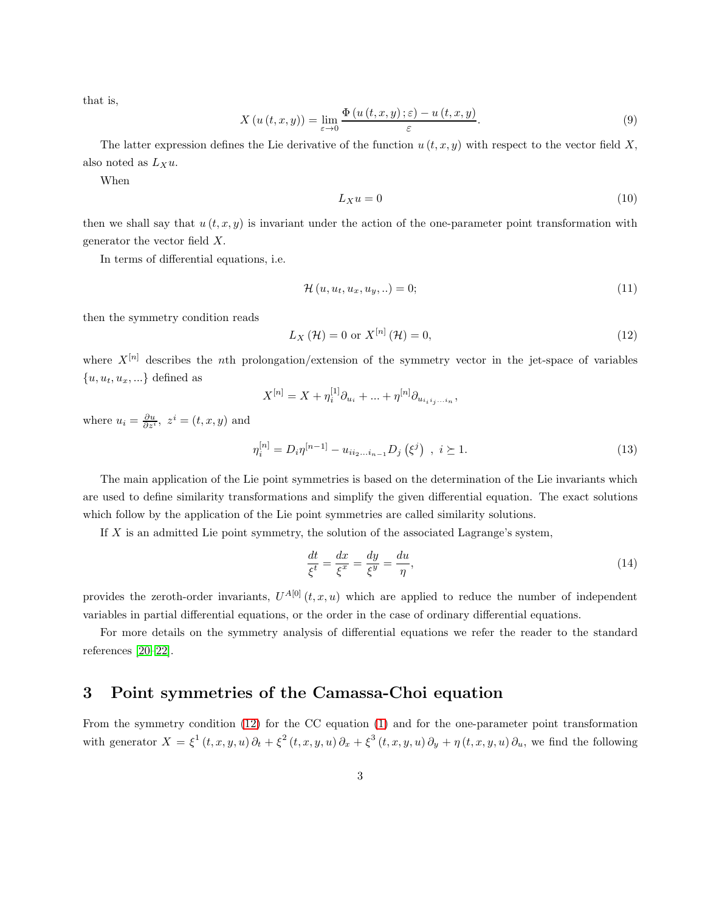that is,

$$
X(u(t,x,y)) = \lim_{\varepsilon \to 0} \frac{\Phi(u(t,x,y);\varepsilon) - u(t,x,y)}{\varepsilon}.
$$
\n(9)

The latter expression defines the Lie derivative of the function  $u(t, x, y)$  with respect to the vector field X, also noted as  $L_Xu$ .

When

$$
L_X u = 0 \tag{10}
$$

then we shall say that  $u(t, x, y)$  is invariant under the action of the one-parameter point transformation with generator the vector field X.

In terms of differential equations, i.e.

$$
\mathcal{H}(u, u_t, u_x, u_y, \ldots) = 0; \tag{11}
$$

then the symmetry condition reads

<span id="page-2-1"></span>
$$
L_X\left(\mathcal{H}\right) = 0 \text{ or } X^{[n]}\left(\mathcal{H}\right) = 0,\tag{12}
$$

where  $X^{[n]}$  describes the nth prolongation/extension of the symmetry vector in the jet-space of variables  $\{u, u_t, u_x, ...\}$  defined as

$$
X^{[n]} = X + \eta_i^{[1]} \partial_{u_i} + \dots + \eta^{[n]} \partial_{u_{i_i i_j \dots i_n}},
$$

where  $u_i = \frac{\partial u}{\partial z^i}$ ,  $z^i = (t, x, y)$  and

$$
\eta_i^{[n]} = D_i \eta^{[n-1]} - u_{ii_2...i_{n-1}} D_j \left(\xi^j\right) , \ i \ge 1. \tag{13}
$$

The main application of the Lie point symmetries is based on the determination of the Lie invariants which are used to define similarity transformations and simplify the given differential equation. The exact solutions which follow by the application of the Lie point symmetries are called similarity solutions.

If  $X$  is an admitted Lie point symmetry, the solution of the associated Lagrange's system,

$$
\frac{dt}{\xi^t} = \frac{dx}{\xi^x} = \frac{dy}{\xi^y} = \frac{du}{\eta},\tag{14}
$$

provides the zeroth-order invariants,  $U^{A[0]}(t, x, u)$  which are applied to reduce the number of independent variables in partial differential equations, or the order in the case of ordinary differential equations.

For more details on the symmetry analysis of differential equations we refer the reader to the standard references [\[20](#page-10-12)[–22\]](#page-11-0).

## <span id="page-2-0"></span>3 Point symmetries of the Camassa-Choi equation

From the symmetry condition [\(12\)](#page-2-1) for the CC equation [\(1\)](#page-0-0) and for the one-parameter point transformation with generator  $X = \xi^1(t, x, y, u) \partial_t + \xi^2(t, x, y, u) \partial_x + \xi^3(t, x, y, u) \partial_y + \eta(t, x, y, u) \partial_u$ , we find the following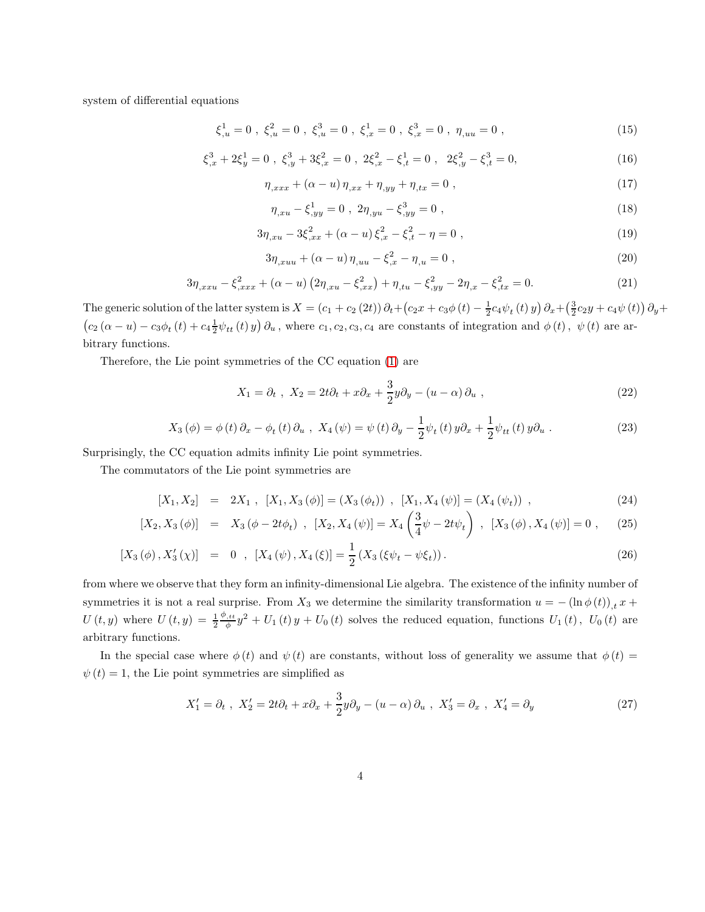system of differential equations

$$
\xi_{,u}^{1} = 0 \ , \ \xi_{,u}^{2} = 0 \ , \ \xi_{,u}^{3} = 0 \ , \ \xi_{,x}^{1} = 0 \ , \ \xi_{,x}^{3} = 0 \ , \ \eta_{,uu} = 0 \ , \tag{15}
$$

$$
\xi_{,x}^{3} + 2\xi_{y}^{1} = 0 \ , \ \xi_{,y}^{3} + 3\xi_{,x}^{2} = 0 \ , \ 2\xi_{,x}^{2} - \xi_{,t}^{1} = 0 \ , \ 2\xi_{,y}^{2} - \xi_{,t}^{3} = 0, \tag{16}
$$

$$
\eta_{,xxx} + (\alpha - u)\eta_{,xx} + \eta_{,yy} + \eta_{,tx} = 0 , \qquad (17)
$$

$$
\eta_{,xu} - \xi_{,yy}^1 = 0 \ , \ 2\eta_{,yu} - \xi_{,yy}^3 = 0 \ , \tag{18}
$$

$$
3\eta_{,xu} - 3\xi_{,xx}^2 + (\alpha - u)\xi_{,x}^2 - \xi_{,t}^2 - \eta = 0,
$$
\n(19)

$$
3\eta_{,xuu} + (\alpha - u)\eta_{,uu} - \xi_{,x}^2 - \eta_{,u} = 0 , \qquad (20)
$$

$$
3\eta_{,xxx} - \xi_{,xxx}^2 + (\alpha - u) \left(2\eta_{,xu} - \xi_{,xx}^2\right) + \eta_{,tu} - \xi_{,yy}^2 - 2\eta_{,x} - \xi_{,tx}^2 = 0. \tag{21}
$$

The generic solution of the latter system is  $X = (c_1 + c_2 (2t)) \partial_t + (c_2x + c_3\phi(t) - \frac{1}{2}c_4\psi_t(t)y) \partial_x + (\frac{3}{2}c_2y + c_4\psi(t)) \partial_y +$  $(c_2(\alpha - u) - c_3\phi_t(t) + c_4\frac{1}{2}\psi_{tt}(t) y)\partial_u$ , where  $c_1, c_2, c_3, c_4$  are constants of integration and  $\phi(t)$ ,  $\psi(t)$  are arbitrary functions.

Therefore, the Lie point symmetries of the CC equation [\(1\)](#page-0-0) are

<span id="page-3-0"></span>
$$
X_1 = \partial_t, \quad X_2 = 2t\partial_t + x\partial_x + \frac{3}{2}y\partial_y - (u - \alpha)\partial_u,
$$
\n
$$
(22)
$$

<span id="page-3-1"></span>
$$
X_3(\phi) = \phi(t)\,\partial_x - \phi_t(t)\,\partial_u\,,\,\, X_4(\psi) = \psi(t)\,\partial_y - \frac{1}{2}\psi_t(t)\,y\partial_x + \frac{1}{2}\psi_{tt}(t)\,y\partial_u\,.
$$
 (23)

Surprisingly, the CC equation admits infinity Lie point symmetries.

The commutators of the Lie point symmetries are

<span id="page-3-2"></span>
$$
[X_1, X_2] = 2X_1, [X_1, X_3(\phi)] = (X_3(\phi_t)), [X_1, X_4(\psi)] = (X_4(\psi_t)),
$$
\n(24)

$$
[X_2, X_3(\phi)] = X_3(\phi - 2t\phi_t), [X_2, X_4(\psi)] = X_4\left(\frac{3}{4}\psi - 2t\psi_t\right), [X_3(\phi), X_4(\psi)] = 0, \quad (25)
$$

$$
[X_3(\phi), X'_3(\chi)] = 0, [X_4(\psi), X_4(\xi)] = \frac{1}{2}(X_3(\xi\psi_t - \psi\xi_t)).
$$
\n(26)

from where we observe that they form an infinity-dimensional Lie algebra. The existence of the infinity number of symmetries it is not a real surprise. From  $X_3$  we determine the similarity transformation  $u = -(\ln \phi(t))_{,t} x +$  $U\left(t,y\right)$  where  $U\left(t,y\right) = \frac{1}{2}$  $\frac{\phi_{,tt}}{\phi}y^2 + U_1(t)y + U_0(t)$  solves the reduced equation, functions  $U_1(t)$ ,  $U_0(t)$  are arbitrary functions.

In the special case where  $\phi(t)$  and  $\psi(t)$  are constants, without loss of generality we assume that  $\phi(t)$  $\psi(t) = 1$ , the Lie point symmetries are simplified as

<span id="page-3-3"></span>
$$
X_1' = \partial_t, \quad X_2' = 2t\partial_t + x\partial_x + \frac{3}{2}y\partial_y - (u - \alpha)\partial_u, \quad X_3' = \partial_x, \quad X_4' = \partial_y \tag{27}
$$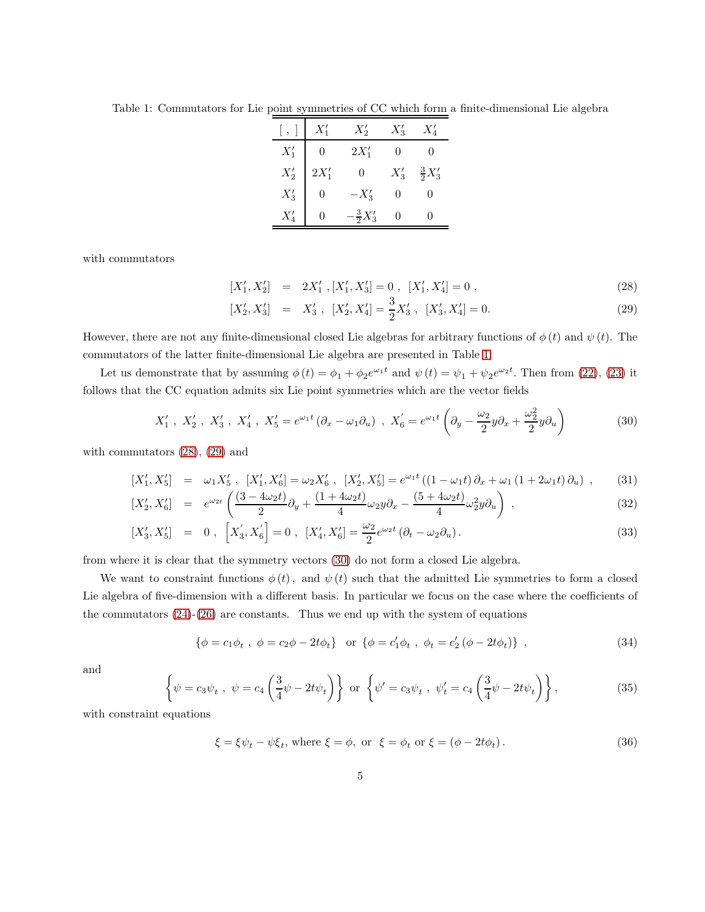<span id="page-4-0"></span>Table 1: Commutators for Lie point symmetries of CC which form a finite-dimensional Lie algebra

|              | $X'_1$  | $X_2'$             | $X_3'$ | $X_4'$            |
|--------------|---------|--------------------|--------|-------------------|
| $X_1'$       |         | $2X'_1$            |        |                   |
| $X_2^\prime$ | $2X'_1$ | 0                  | $X_3'$ | $\frac{3}{2}X_3'$ |
| $X'_3$       |         | $-X_3'$            |        |                   |
|              |         | $-\frac{3}{2}X_3'$ |        |                   |

with commutators

<span id="page-4-1"></span>
$$
[X'_1, X'_2] = 2X'_1, [X'_1, X'_3] = 0, [X'_1, X'_4] = 0,
$$
\n(28)

$$
[X'_2, X'_3] = X'_3, [X'_2, X'_4] = \frac{3}{2}X'_3, [X'_3, X'_4] = 0.
$$
 (29)

However, there are not any finite-dimensional closed Lie algebras for arbitrary functions of  $\phi(t)$  and  $\psi(t)$ . The commutators of the latter finite-dimensional Lie algebra are presented in Table [1.](#page-4-0)

Let us demonstrate that by assuming  $\phi(t) = \phi_1 + \phi_2 e^{\omega_1 t}$  and  $\psi(t) = \psi_1 + \psi_2 e^{\omega_2 t}$ . Then from [\(22\)](#page-3-0), [\(23\)](#page-3-1) it follows that the CC equation admits six Lie point symmetries which are the vector fields

<span id="page-4-2"></span>
$$
X'_1, X'_2, X'_3, X'_4, X'_5 = e^{\omega_1 t} (\partial_x - \omega_1 \partial_u), X'_6 = e^{\omega_1 t} \left( \partial_y - \frac{\omega_2}{2} y \partial_x + \frac{\omega_2^2}{2} y \partial_u \right)
$$
(30)

with commutators [\(28\)](#page-4-1), [\(29\)](#page-4-1) and

$$
[X'_1, X'_5] = \omega_1 X'_5, [X'_1, X'_6] = \omega_2 X'_6, [X'_2, X'_5] = e^{\omega_1 t} ((1 - \omega_1 t) \partial_x + \omega_1 (1 + 2\omega_1 t) \partial_u), \quad (31)
$$

$$
[X_2', X_6'] = e^{\omega_{2t}} \left( \frac{(3 - 4\omega_2 t)}{2} \partial_y + \frac{(1 + 4\omega_2 t)}{4} \omega_2 y \partial_x - \frac{(5 + 4\omega_2 t)}{4} \omega_2^2 y \partial_u \right) , \tag{32}
$$

$$
[X'_3, X'_5] = 0, [X'_3, X'_6] = 0, [X'_4, X'_6] = \frac{\omega_2}{2} e^{\omega_2 t} (\partial_t - \omega_2 \partial_u).
$$
 (33)

from where it is clear that the symmetry vectors [\(30\)](#page-4-2) do not form a closed Lie algebra.

We want to constraint functions  $\phi(t)$ , and  $\psi(t)$  such that the admitted Lie symmetries to form a closed Lie algebra of five-dimension with a different basis. In particular we focus on the case where the coefficients of the commutators  $(24)-(26)$  $(24)-(26)$  are constants. Thus we end up with the system of equations

<span id="page-4-3"></span>
$$
\{\phi = c_1 \phi_t , \phi = c_2 \phi - 2t \phi_t \} \text{ or } \{\phi = c'_1 \phi_t , \phi_t = c'_2 (\phi - 2t \phi_t) \},
$$
\n(34)

and

<span id="page-4-4"></span>
$$
\left\{\psi = c_3\psi_t, \ \psi = c_4\left(\frac{3}{4}\psi - 2t\psi_t\right)\right\} \text{ or } \left\{\psi' = c_3\psi_t, \ \psi'_t = c_4\left(\frac{3}{4}\psi - 2t\psi_t\right)\right\},\tag{35}
$$

with constraint equations

<span id="page-4-5"></span>
$$
\xi = \xi \psi_t - \psi \xi_t, \text{ where } \xi = \phi, \text{ or } \xi = \phi_t \text{ or } \xi = (\phi - 2t\phi_t). \tag{36}
$$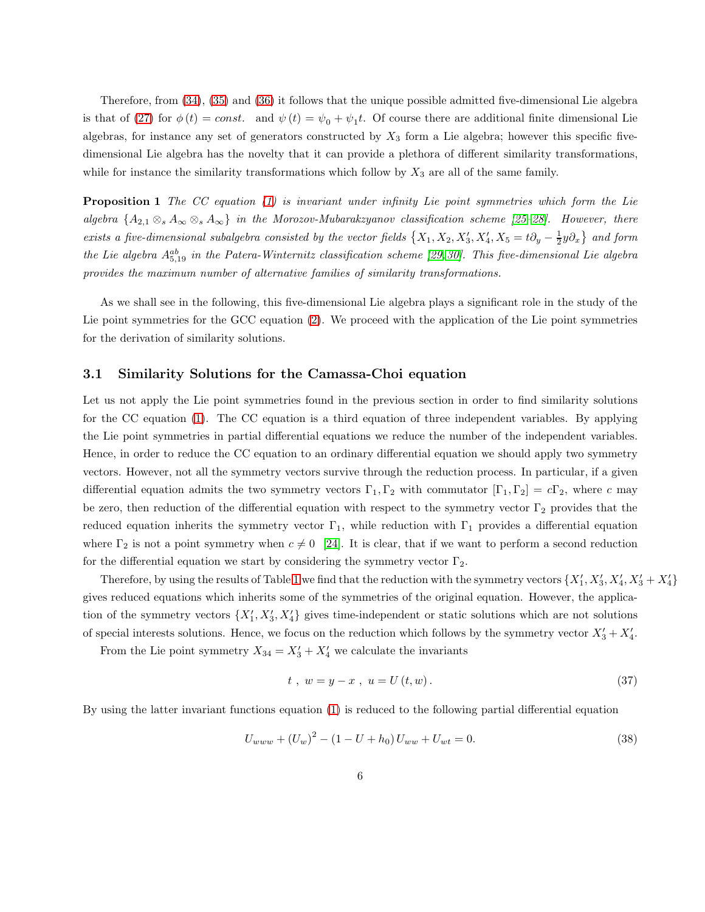Therefore, from [\(34\)](#page-4-3), [\(35\)](#page-4-4) and [\(36\)](#page-4-5) it follows that the unique possible admitted five-dimensional Lie algebra is that of [\(27\)](#page-3-3) for  $\phi(t) = const.$  and  $\psi(t) = \psi_0 + \psi_1 t$ . Of course there are additional finite dimensional Lie algebras, for instance any set of generators constructed by  $X_3$  form a Lie algebra; however this specific fivedimensional Lie algebra has the novelty that it can provide a plethora of different similarity transformations, while for instance the similarity transformations which follow by  $X_3$  are all of the same family.

Proposition 1 The CC equation [\(1\)](#page-0-0) is invariant under infinity Lie point symmetries which form the Lie algebra  $\{A_{2,1}\otimes_A A_\infty\otimes_A A_\infty\}$  in the Morozov-Mubarakzyanov classification scheme [\[25](#page-11-1)[–28\]](#page-11-2). However, there exists a five-dimensional subalgebra consisted by the vector fields  $\{X_1, X_2, X'_3, X'_4, X_5 = t\partial_y - \frac{1}{2}y\partial_x\}$  and form the Lie algebra  $A_{5,19}^{ab}$  in the Patera-Winternitz classification scheme [\[29,](#page-11-3) [30\]](#page-11-4). This five-dimensional Lie algebra provides the maximum number of alternative families of similarity transformations.

As we shall see in the following, this five-dimensional Lie algebra plays a significant role in the study of the Lie point symmetries for the GCC equation [\(2\)](#page-1-0). We proceed with the application of the Lie point symmetries for the derivation of similarity solutions.

#### 3.1 Similarity Solutions for the Camassa-Choi equation

Let us not apply the Lie point symmetries found in the previous section in order to find similarity solutions for the CC equation [\(1\)](#page-0-0). The CC equation is a third equation of three independent variables. By applying the Lie point symmetries in partial differential equations we reduce the number of the independent variables. Hence, in order to reduce the CC equation to an ordinary differential equation we should apply two symmetry vectors. However, not all the symmetry vectors survive through the reduction process. In particular, if a given differential equation admits the two symmetry vectors  $\Gamma_1, \Gamma_2$  with commutator  $[\Gamma_1, \Gamma_2] = c\Gamma_2$ , where c may be zero, then reduction of the differential equation with respect to the symmetry vector  $\Gamma_2$  provides that the reduced equation inherits the symmetry vector  $\Gamma_1$ , while reduction with  $\Gamma_1$  provides a differential equation where  $\Gamma_2$  is not a point symmetry when  $c \neq 0$  [\[24\]](#page-11-5). It is clear, that if we want to perform a second reduction for the differential equation we start by considering the symmetry vector  $\Gamma_2$ .

Therefore, by using the results of Table [1](#page-4-0) we find that the reduction with the symmetry vectors  $\{X'_1, X'_3, X'_4, X'_3 + X'_4\}$ gives reduced equations which inherits some of the symmetries of the original equation. However, the application of the symmetry vectors  $\{X'_1, X'_3, X'_4\}$  gives time-independent or static solutions which are not solutions of special interests solutions. Hence, we focus on the reduction which follows by the symmetry vector  $X'_3 + X'_4$ .

From the Lie point symmetry  $X_{34} = X'_3 + X'_4$  we calculate the invariants

$$
t, w = y - x, u = U(t, w).
$$
\n(37)

By using the latter invariant functions equation [\(1\)](#page-0-0) is reduced to the following partial differential equation

<span id="page-5-0"></span>
$$
U_{www} + (U_w)^2 - (1 - U + h_0)U_{ww} + U_{wt} = 0.
$$
\n(38)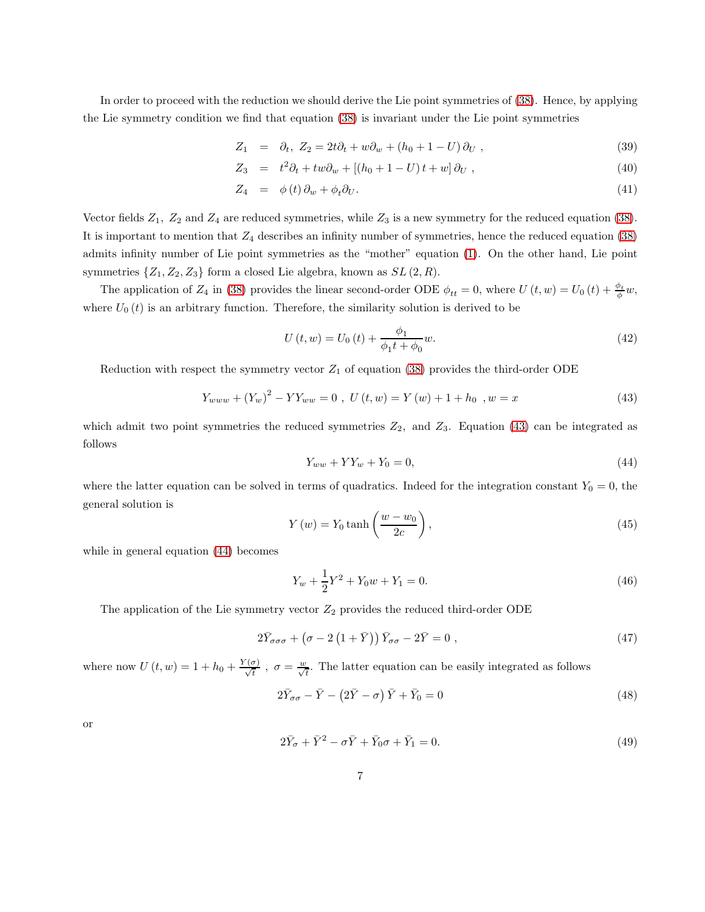In order to proceed with the reduction we should derive the Lie point symmetries of [\(38\)](#page-5-0). Hence, by applying the Lie symmetry condition we find that equation [\(38\)](#page-5-0) is invariant under the Lie point symmetries

$$
Z_1 = \partial_t, Z_2 = 2t\partial_t + w\partial_w + (h_0 + 1 - U)\partial_U,
$$
\n
$$
(39)
$$

$$
Z_3 = t^2 \partial_t + tw \partial_w + [(h_0 + 1 - U)t + w] \partial_U , \qquad (40)
$$

$$
Z_4 = \phi(t)\,\partial_w + \phi_t \partial_U. \tag{41}
$$

Vector fields  $Z_1$ ,  $Z_2$  and  $Z_4$  are reduced symmetries, while  $Z_3$  is a new symmetry for the reduced equation [\(38\)](#page-5-0). It is important to mention that  $Z_4$  describes an infinity number of symmetries, hence the reduced equation [\(38\)](#page-5-0) admits infinity number of Lie point symmetries as the "mother" equation [\(1\)](#page-0-0). On the other hand, Lie point symmetries  $\{Z_1, Z_2, Z_3\}$  form a closed Lie algebra, known as  $SL(2, R)$ .

The application of  $Z_4$  in [\(38\)](#page-5-0) provides the linear second-order ODE  $\phi_{tt} = 0$ , where  $U(t, w) = U_0(t) + \frac{\phi_t}{\phi}w$ , where  $U_0(t)$  is an arbitrary function. Therefore, the similarity solution is derived to be

$$
U(t, w) = U_0(t) + \frac{\phi_1}{\phi_1 t + \phi_0} w.
$$
\n(42)

Reduction with respect the symmetry vector  $Z_1$  of equation [\(38\)](#page-5-0) provides the third-order ODE

<span id="page-6-0"></span>
$$
Y_{www} + (Y_w)^2 - YY_{ww} = 0, \ U(t, w) = Y(w) + 1 + h_0, \ w = x \tag{43}
$$

which admit two point symmetries the reduced symmetries  $Z_2$ , and  $Z_3$ . Equation [\(43\)](#page-6-0) can be integrated as follows

<span id="page-6-1"></span>
$$
Y_{ww} + YY_w + Y_0 = 0,\t\t(44)
$$

where the latter equation can be solved in terms of quadratics. Indeed for the integration constant  $Y_0 = 0$ , the general solution is

$$
Y(w) = Y_0 \tanh\left(\frac{w - w_0}{2c}\right),\tag{45}
$$

while in general equation [\(44\)](#page-6-1) becomes

$$
Y_w + \frac{1}{2}Y^2 + Y_0w + Y_1 = 0.
$$
\n(46)

The application of the Lie symmetry vector  $Z_2$  provides the reduced third-order ODE

$$
2\bar{Y}_{\sigma\sigma\sigma} + (\sigma - 2(1+\bar{Y}))\bar{Y}_{\sigma\sigma} - 2\bar{Y} = 0 , \qquad (47)
$$

where now  $U(t, w) = 1 + h_0 + \frac{Y(\sigma)}{\sqrt{t}}$ ,  $\sigma = \frac{w}{\sqrt{t}}$ . The latter equation can be easily integrated as follows

$$
2\bar{Y}_{\sigma\sigma} - \bar{Y} - (2\bar{Y} - \sigma)\bar{Y} + \bar{Y}_0 = 0
$$
\n(48)

or

$$
2\bar{Y}_{\sigma} + \bar{Y}^2 - \sigma \bar{Y} + \bar{Y}_0 \sigma + \bar{Y}_1 = 0.
$$
\n
$$
(49)
$$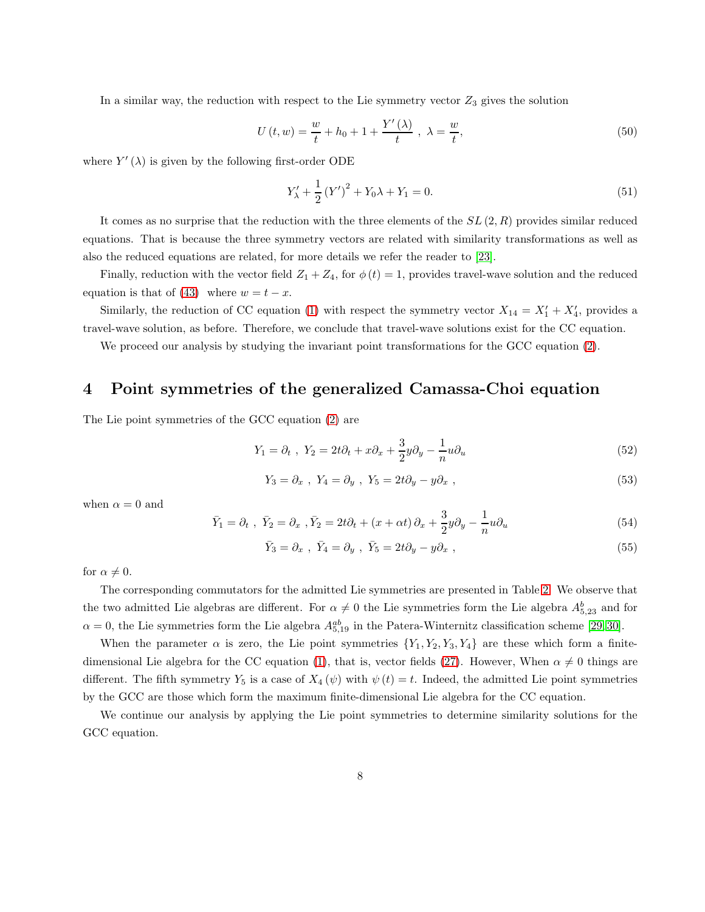In a similar way, the reduction with respect to the Lie symmetry vector  $Z_3$  gives the solution

$$
U(t, w) = \frac{w}{t} + h_0 + 1 + \frac{Y'(\lambda)}{t}, \ \lambda = \frac{w}{t}, \tag{50}
$$

where  $Y'(\lambda)$  is given by the following first-order ODE

$$
Y'_{\lambda} + \frac{1}{2} (Y')^2 + Y_0 \lambda + Y_1 = 0.
$$
 (51)

It comes as no surprise that the reduction with the three elements of the  $SL(2,R)$  provides similar reduced equations. That is because the three symmetry vectors are related with similarity transformations as well as also the reduced equations are related, for more details we refer the reader to [\[23\]](#page-11-6).

Finally, reduction with the vector field  $Z_1 + Z_4$ , for  $\phi(t) = 1$ , provides travel-wave solution and the reduced equation is that of [\(43\)](#page-6-0) where  $w = t - x$ .

Similarly, the reduction of CC equation [\(1\)](#page-0-0) with respect the symmetry vector  $X_{14} = X'_1 + X'_4$ , provides a travel-wave solution, as before. Therefore, we conclude that travel-wave solutions exist for the CC equation.

<span id="page-7-0"></span>We proceed our analysis by studying the invariant point transformations for the GCC equation [\(2\)](#page-1-0).

## 4 Point symmetries of the generalized Camassa-Choi equation

The Lie point symmetries of the GCC equation [\(2\)](#page-1-0) are

$$
Y_1 = \partial_t, \quad Y_2 = 2t\partial_t + x\partial_x + \frac{3}{2}y\partial_y - \frac{1}{n}u\partial_u \tag{52}
$$

$$
Y_3 = \partial_x, \ Y_4 = \partial_y, \ Y_5 = 2t\partial_y - y\partial_x,
$$
\n
$$
(53)
$$

when  $\alpha = 0$  and

$$
\bar{Y}_1 = \partial_t, \ \ \bar{Y}_2 = \partial_x, \ \bar{Y}_2 = 2t\partial_t + (x + \alpha t)\partial_x + \frac{3}{2}y\partial_y - \frac{1}{n}u\partial_u \tag{54}
$$

$$
\bar{Y}_3 = \partial_x , \ \bar{Y}_4 = \partial_y , \ \bar{Y}_5 = 2t\partial_y - y\partial_x , \tag{55}
$$

for  $\alpha \neq 0$ .

The corresponding commutators for the admitted Lie symmetries are presented in Table [2.](#page-8-0) We observe that the two admitted Lie algebras are different. For  $\alpha \neq 0$  the Lie symmetries form the Lie algebra  $A_{5,23}^b$  and for  $\alpha = 0$ , the Lie symmetries form the Lie algebra  $A_{5,19}^{ab}$  in the Patera-Winternitz classification scheme [\[29,](#page-11-3) [30\]](#page-11-4).

When the parameter  $\alpha$  is zero, the Lie point symmetries  $\{Y_1, Y_2, Y_3, Y_4\}$  are these which form a finite-dimensional Lie algebra for the CC equation [\(1\)](#page-0-0), that is, vector fields [\(27\)](#page-3-3). However, When  $\alpha \neq 0$  things are different. The fifth symmetry  $Y_5$  is a case of  $X_4(\psi)$  with  $\psi(t) = t$ . Indeed, the admitted Lie point symmetries by the GCC are those which form the maximum finite-dimensional Lie algebra for the CC equation.

We continue our analysis by applying the Lie point symmetries to determine similarity solutions for the GCC equation.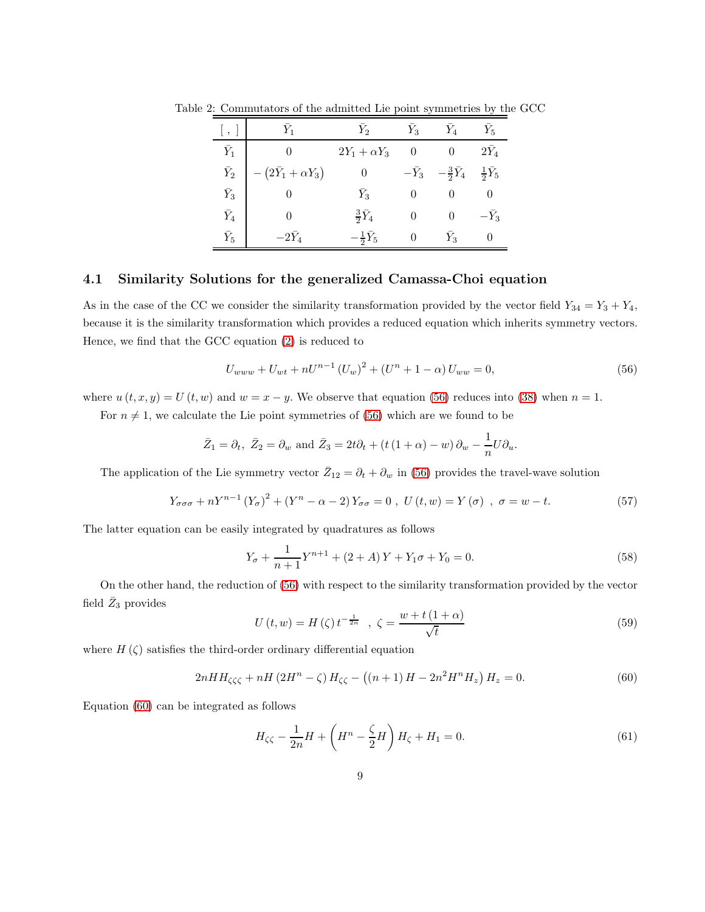<span id="page-8-0"></span>

| $\rightarrow$ | $Y_1$                      | $Y_2$                   | $Y_3$       | $Y_4$                   | $Y_5$                  |
|---------------|----------------------------|-------------------------|-------------|-------------------------|------------------------|
| $\bar{Y}_1$   |                            | $2Y_1 + \alpha Y_3$     | 0           |                         | $2Y_4$                 |
| $\bar Y_2$    | $-(2\bar{Y}_1+\alpha Y_3)$ | $\theta$                | $-\bar Y_3$ | $-\frac{3}{2}\bar{Y}_4$ | $\frac{1}{2}\bar{Y}_5$ |
| $\bar Y_3$    |                            | $\bar{Y}_3$             |             |                         |                        |
| $\bar Y_4$    |                            | $rac{3}{2}\bar{Y}_4$    |             |                         | $-\overline{Y}_3$      |
| $\bar Y_5$    | $-2\bar{Y}_4$              | $-\frac{1}{2}\bar{Y}_5$ |             | $\overline{Y_3}$        |                        |

Table 2: Commutators of the admitted Lie point symmetries by the GCC

### 4.1 Similarity Solutions for the generalized Camassa-Choi equation

As in the case of the CC we consider the similarity transformation provided by the vector field  $Y_{34} = Y_3 + Y_4$ , because it is the similarity transformation which provides a reduced equation which inherits symmetry vectors. Hence, we find that the GCC equation [\(2\)](#page-1-0) is reduced to

<span id="page-8-1"></span>
$$
U_{www} + U_{wt} + nU^{n-1} (U_w)^2 + (U^n + 1 - \alpha) U_{ww} = 0,
$$
\n(56)

where  $u(t, x, y) = U(t, w)$  and  $w = x - y$ . We observe that equation [\(56\)](#page-8-1) reduces into [\(38\)](#page-5-0) when  $n = 1$ .

For  $n \neq 1$ , we calculate the Lie point symmetries of [\(56\)](#page-8-1) which are we found to be

$$
\bar{Z}_1 = \partial_t
$$
,  $\bar{Z}_2 = \partial_w$  and  $\bar{Z}_3 = 2t\partial_t + (t(1+\alpha) - w)\partial_w - \frac{1}{n}U\partial_u$ .

The application of the Lie symmetry vector  $\bar{Z}_{12} = \partial_t + \partial_w$  in [\(56\)](#page-8-1) provides the travel-wave solution

$$
Y_{\sigma\sigma\sigma} + nY^{n-1} (Y_{\sigma})^2 + (Y^n - \alpha - 2) Y_{\sigma\sigma} = 0, \ U(t, w) = Y(\sigma) , \ \sigma = w - t. \tag{57}
$$

The latter equation can be easily integrated by quadratures as follows

$$
Y_{\sigma} + \frac{1}{n+1}Y^{n+1} + (2+A)Y + Y_1\sigma + Y_0 = 0.
$$
\n(58)

On the other hand, the reduction of [\(56\)](#page-8-1) with respect to the similarity transformation provided by the vector field  $\bar{Z}_3$  provides

$$
U\left(t, w\right) = H\left(\zeta\right) t^{-\frac{1}{2n}}, \ \zeta = \frac{w + t\left(1 + \alpha\right)}{\sqrt{t}}\tag{59}
$$

where  $H(\zeta)$  satisfies the third-order ordinary differential equation

<span id="page-8-2"></span>
$$
2nHH_{\zeta\zeta\zeta} + nH\left(2H^{n} - \zeta\right)H_{\zeta\zeta} - \left((n+1)H - 2n^{2}H^{n}H_{z}\right)H_{z} = 0.
$$
\n(60)

Equation [\(60\)](#page-8-2) can be integrated as follows

<span id="page-8-3"></span>
$$
H_{\zeta\zeta} - \frac{1}{2n}H + \left(H^n - \frac{\zeta}{2}H\right)H_{\zeta} + H_1 = 0.
$$
 (61)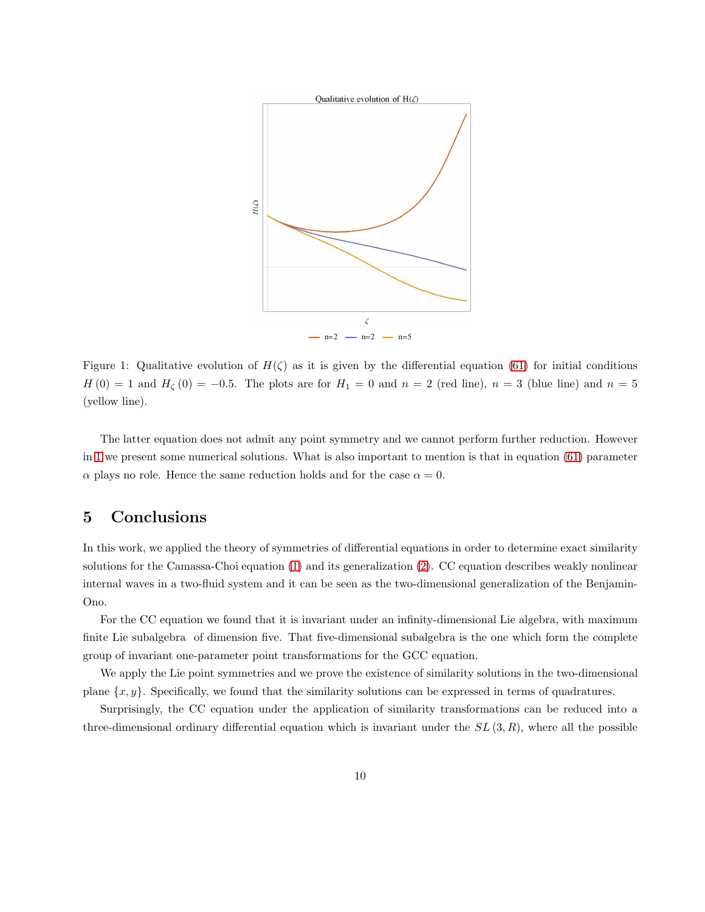

<span id="page-9-1"></span>Figure 1: Qualitative evolution of  $H(\zeta)$  as it is given by the differential equation [\(61\)](#page-8-3) for initial conditions  $H(0) = 1$  and  $H_{\zeta}(0) = -0.5$ . The plots are for  $H_1 = 0$  and  $n = 2$  (red line),  $n = 3$  (blue line) and  $n = 5$ (yellow line).

The latter equation does not admit any point symmetry and we cannot perform further reduction. However in [1](#page-9-1) we present some numerical solutions. What is also important to mention is that in equation [\(61\)](#page-8-3) parameter  $\alpha$  plays no role. Hence the same reduction holds and for the case  $\alpha = 0$ .

## <span id="page-9-0"></span>5 Conclusions

In this work, we applied the theory of symmetries of differential equations in order to determine exact similarity solutions for the Camassa-Choi equation [\(1\)](#page-0-0) and its generalization [\(2\)](#page-1-0). CC equation describes weakly nonlinear internal waves in a two-fluid system and it can be seen as the two-dimensional generalization of the Benjamin-Ono.

For the CC equation we found that it is invariant under an infinity-dimensional Lie algebra, with maximum finite Lie subalgebra of dimension five. That five-dimensional subalgebra is the one which form the complete group of invariant one-parameter point transformations for the GCC equation.

We apply the Lie point symmetries and we prove the existence of similarity solutions in the two-dimensional plane  $\{x, y\}$ . Specifically, we found that the similarity solutions can be expressed in terms of quadratures.

Surprisingly, the CC equation under the application of similarity transformations can be reduced into a three-dimensional ordinary differential equation which is invariant under the  $SL(3, R)$ , where all the possible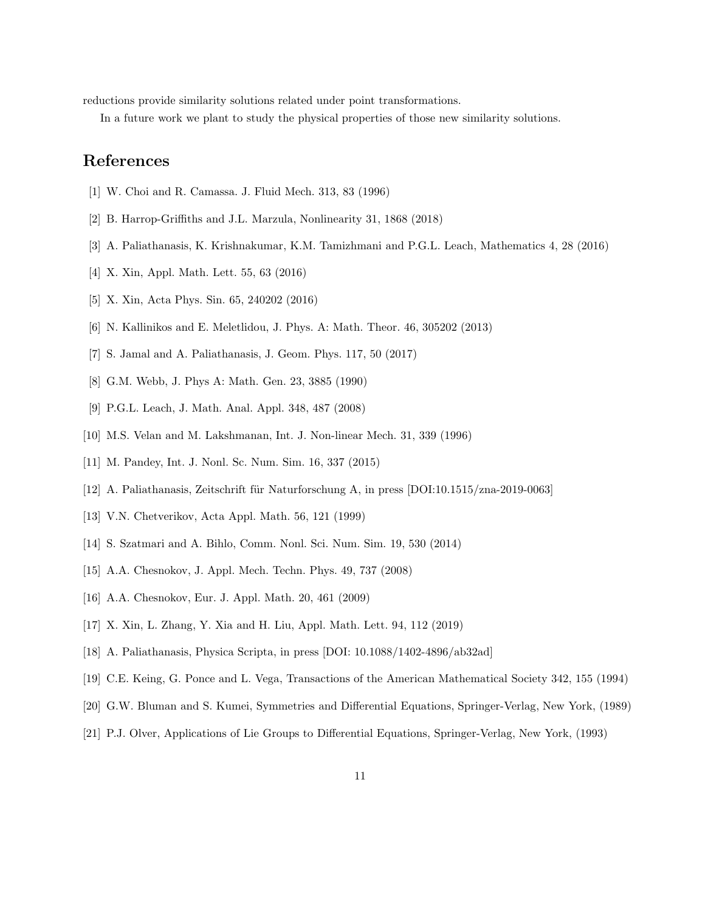reductions provide similarity solutions related under point transformations.

In a future work we plant to study the physical properties of those new similarity solutions.

## <span id="page-10-0"></span>References

- <span id="page-10-1"></span>[1] W. Choi and R. Camassa. J. Fluid Mech. 313, 83 (1996)
- <span id="page-10-2"></span>[2] B. Harrop-Griffiths and J.L. Marzula, Nonlinearity 31, 1868 (2018)
- [3] A. Paliathanasis, K. Krishnakumar, K.M. Tamizhmani and P.G.L. Leach, Mathematics 4, 28 (2016)
- [4] X. Xin, Appl. Math. Lett. 55, 63 (2016)
- [5] X. Xin, Acta Phys. Sin. 65, 240202 (2016)
- [6] N. Kallinikos and E. Meletlidou, J. Phys. A: Math. Theor. 46, 305202 (2013)
- [7] S. Jamal and A. Paliathanasis, J. Geom. Phys. 117, 50 (2017)
- <span id="page-10-3"></span>[8] G.M. Webb, J. Phys A: Math. Gen. 23, 3885 (1990)
- <span id="page-10-4"></span>[9] P.G.L. Leach, J. Math. Anal. Appl. 348, 487 (2008)
- <span id="page-10-5"></span>[10] M.S. Velan and M. Lakshmanan, Int. J. Non-linear Mech. 31, 339 (1996)
- <span id="page-10-6"></span>[11] M. Pandey, Int. J. Nonl. Sc. Num. Sim. 16, 337 (2015)
- <span id="page-10-7"></span>[12] A. Paliathanasis, Zeitschrift für Naturforschung A, in press  $[DOI:10.1515/zna-2019-0063]$
- <span id="page-10-8"></span>[13] V.N. Chetverikov, Acta Appl. Math. 56, 121 (1999)
- [14] S. Szatmari and A. Bihlo, Comm. Nonl. Sci. Num. Sim. 19, 530 (2014)
- <span id="page-10-9"></span>[15] A.A. Chesnokov, J. Appl. Mech. Techn. Phys. 49, 737 (2008)
- [16] A.A. Chesnokov, Eur. J. Appl. Math. 20, 461 (2009)
- <span id="page-10-10"></span>[17] X. Xin, L. Zhang, Y. Xia and H. Liu, Appl. Math. Lett. 94, 112 (2019)
- <span id="page-10-11"></span>[18] A. Paliathanasis, Physica Scripta, in press [DOI: 10.1088/1402-4896/ab32ad]
- <span id="page-10-12"></span>[19] C.E. Keing, G. Ponce and L. Vega, Transactions of the American Mathematical Society 342, 155 (1994)
- [20] G.W. Bluman and S. Kumei, Symmetries and Differential Equations, Springer-Verlag, New York, (1989)
- [21] P.J. Olver, Applications of Lie Groups to Differential Equations, Springer-Verlag, New York, (1993)